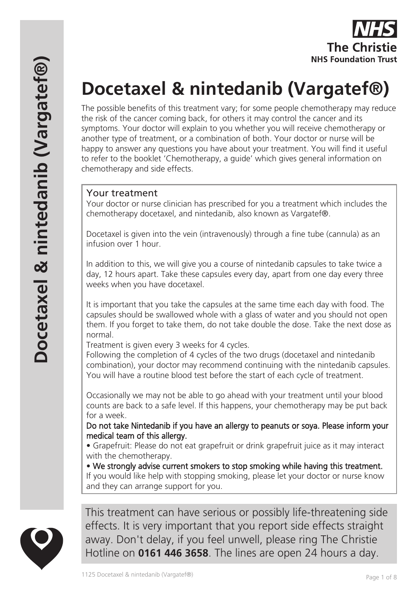

# **Docetaxel & nintedanib (Vargatef®)**

The possible benefits of this treatment vary; for some people chemotherapy may reduce the risk of the cancer coming back, for others it may control the cancer and its symptoms. Your doctor will explain to you whether you will receive chemotherapy or another type of treatment, or a combination of both. Your doctor or nurse will be happy to answer any questions you have about your treatment. You will find it useful to refer to the booklet 'Chemotherapy, a guide' which gives general information on chemotherapy and side effects.

## Your treatment

Your doctor or nurse clinician has prescribed for you a treatment which includes the chemotherapy docetaxel, and nintedanib, also known as Vargatef®.

Docetaxel is given into the vein (intravenously) through a fine tube (cannula) as an infusion over 1 hour.

In addition to this, we will give you a course of nintedanib capsules to take twice a day, 12 hours apart. Take these capsules every day, apart from one day every three weeks when you have docetaxel.

It is important that you take the capsules at the same time each day with food. The capsules should be swallowed whole with a glass of water and you should not open them. If you forget to take them, do not take double the dose. Take the next dose as normal.

Treatment is given every 3 weeks for 4 cycles.

Following the completion of 4 cycles of the two drugs (docetaxel and nintedanib combination), your doctor may recommend continuing with the nintedanib capsules. You will have a routine blood test before the start of each cycle of treatment.

Occasionally we may not be able to go ahead with your treatment until your blood counts are back to a safe level. If this happens, your chemotherapy may be put back for a week.

Do not take Nintedanib if you have an allergy to peanuts or soya. Please inform your medical team of this allergy.

• Grapefruit: Please do not eat grapefruit or drink grapefruit juice as it may interact with the chemotherapy.

• We strongly advise current smokers to stop smoking while having this treatment. If you would like help with stopping smoking, please let your doctor or nurse know and they can arrange support for you.



This treatment can have serious or possibly life-threatening side effects. It is very important that you report side effects straight away. Don't delay, if you feel unwell, please ring The Christie Hotline on **0161 446 3658**. The lines are open 24 hours a day.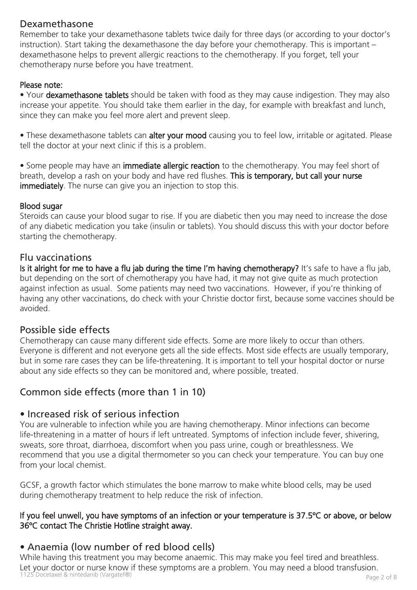## Dexamethasone

Remember to take your dexamethasone tablets twice daily for three days (or according to your doctor's instruction). Start taking the dexamethasone the day before your chemotherapy. This is important – dexamethasone helps to prevent allergic reactions to the chemotherapy. If you forget, tell your chemotherapy nurse before you have treatment.

#### Please note:

• Your dexamethasone tablets should be taken with food as they may cause indigestion. They may also increase your appetite. You should take them earlier in the day, for example with breakfast and lunch, since they can make you feel more alert and prevent sleep.

• These dexamethasone tablets can alter your mood causing you to feel low, irritable or agitated. Please tell the doctor at your next clinic if this is a problem.

• Some people may have an immediate allergic reaction to the chemotherapy. You may feel short of breath, develop a rash on your body and have red flushes. This is temporary, but call your nurse immediately. The nurse can give you an injection to stop this.

#### Blood sugar

Steroids can cause your blood sugar to rise. If you are diabetic then you may need to increase the dose of any diabetic medication you take (insulin or tablets). You should discuss this with your doctor before starting the chemotherapy.

#### Flu vaccinations

Is it alright for me to have a flu jab during the time I'm having chemotherapy? It's safe to have a flu jab, but depending on the sort of chemotherapy you have had, it may not give quite as much protection against infection as usual. Some patients may need two vaccinations. However, if you're thinking of having any other vaccinations, do check with your Christie doctor first, because some vaccines should be avoided.

## Possible side effects

Chemotherapy can cause many different side effects. Some are more likely to occur than others. Everyone is different and not everyone gets all the side effects. Most side effects are usually temporary, but in some rare cases they can be life-threatening. It is important to tell your hospital doctor or nurse about any side effects so they can be monitored and, where possible, treated.

# Common side effects (more than 1 in 10)

## • Increased risk of serious infection

You are vulnerable to infection while you are having chemotherapy. Minor infections can become life-threatening in a matter of hours if left untreated. Symptoms of infection include fever, shivering, sweats, sore throat, diarrhoea, discomfort when you pass urine, cough or breathlessness. We recommend that you use a digital thermometer so you can check your temperature. You can buy one from your local chemist.

GCSF, a growth factor which stimulates the bone marrow to make white blood cells, may be used during chemotherapy treatment to help reduce the risk of infection.

#### If you feel unwell, you have symptoms of an infection or your temperature is 37.5ºC or above, or below 36ºC contact The Christie Hotline straight away.

# • Anaemia (low number of red blood cells)

nd 1125 Docetaxel & nintedanib (Vargatef®) Page 2 of 8 While having this treatment you may become anaemic. This may make you feel tired and breathless. Let your doctor or nurse know if these symptoms are a problem. You may need a blood transfusion.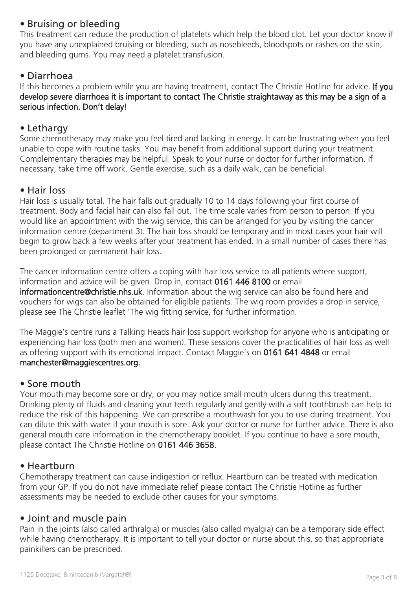## • Bruising or bleeding

This treatment can reduce the production of platelets which help the blood clot. Let your doctor know if you have any unexplained bruising or bleeding, such as nosebleeds, bloodspots or rashes on the skin, and bleeding gums. You may need a platelet transfusion.

## • Diarrhoea

If this becomes a problem while you are having treatment, contact The Christie Hotline for advice. If you develop severe diarrhoea it is important to contact The Christie straightaway as this may be a sign of a serious infection. Don't delay!

#### • Lethargy

Some chemotherapy may make you feel tired and lacking in energy. It can be frustrating when you feel unable to cope with routine tasks. You may benefit from additional support during your treatment. Complementary therapies may be helpful. Speak to your nurse or doctor for further information. If necessary, take time off work. Gentle exercise, such as a daily walk, can be beneficial.

## • Hair loss

Hair loss is usually total. The hair falls out gradually 10 to 14 days following your first course of treatment. Body and facial hair can also fall out. The time scale varies from person to person. If you would like an appointment with the wig service, this can be arranged for you by visiting the cancer information centre (department 3). The hair loss should be temporary and in most cases your hair will begin to grow back a few weeks after your treatment has ended. In a small number of cases there has been prolonged or permanent hair loss.

The cancer information centre offers a coping with hair loss service to all patients where support, information and advice will be given. Drop in, contact 0161 446 8100 or email informationcentre@christie.nhs.uk. Information about the wig service can also be found here and vouchers for wigs can also be obtained for eligible patients. The wig room provides a drop in service, please see The Christie leaflet 'The wig fitting service, for further information.

The Maggie's centre runs a Talking Heads hair loss support workshop for anyone who is anticipating or experiencing hair loss (both men and women). These sessions cover the practicalities of hair loss as well as offering support with its emotional impact. Contact Maggie's on 0161 641 4848 or email manchester@maggiescentres.org.

#### • Sore mouth

Your mouth may become sore or dry, or you may notice small mouth ulcers during this treatment. Drinking plenty of fluids and cleaning your teeth regularly and gently with a soft toothbrush can help to reduce the risk of this happening. We can prescribe a mouthwash for you to use during treatment. You can dilute this with water if your mouth is sore. Ask your doctor or nurse for further advice. There is also general mouth care information in the chemotherapy booklet. If you continue to have a sore mouth, please contact The Christie Hotline on 0161 446 3658.

## • Heartburn

Chemotherapy treatment can cause indigestion or reflux. Heartburn can be treated with medication from your GP. If you do not have immediate relief please contact The Christie Hotline as further assessments may be needed to exclude other causes for your symptoms.

#### • Joint and muscle pain

Pain in the joints (also called arthralgia) or muscles (also called myalgia) can be a temporary side effect while having chemotherapy. It is important to tell your doctor or nurse about this, so that appropriate painkillers can be prescribed.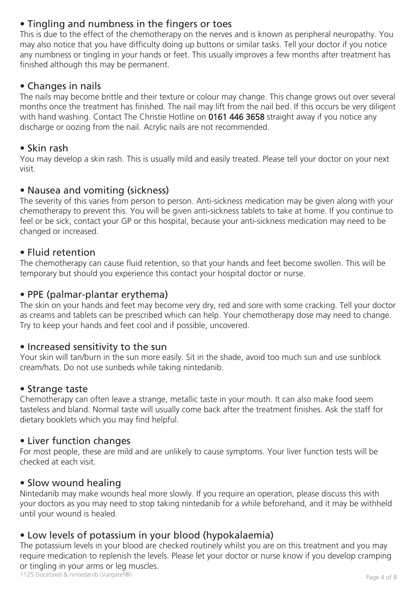# • Tingling and numbness in the fingers or toes

This is due to the effect of the chemotherapy on the nerves and is known as peripheral neuropathy. You may also notice that you have difficulty doing up buttons or similar tasks. Tell your doctor if you notice any numbness or tingling in your hands or feet. This usually improves a few months after treatment has finished although this may be permanent.

## • Changes in nails

The nails may become brittle and their texture or colour may change. This change grows out over several months once the treatment has finished. The nail may lift from the nail bed. If this occurs be very diligent with hand washing. Contact The Christie Hotline on 0161 446 3658 straight away if you notice any discharge or oozing from the nail. Acrylic nails are not recommended.

#### • Skin rash

You may develop a skin rash. This is usually mild and easily treated. Please tell your doctor on your next visit.

## • Nausea and vomiting (sickness)

The severity of this varies from person to person. Anti-sickness medication may be given along with your chemotherapy to prevent this. You will be given anti-sickness tablets to take at home. If you continue to feel or be sick, contact your GP or this hospital, because your anti-sickness medication may need to be changed or increased.

## • Fluid retention

The chemotherapy can cause fluid retention, so that your hands and feet become swollen. This will be temporary but should you experience this contact your hospital doctor or nurse.

#### • PPE (palmar-plantar erythema)

The skin on your hands and feet may become very dry, red and sore with some cracking. Tell your doctor as creams and tablets can be prescribed which can help. Your chemotherapy dose may need to change. Try to keep your hands and feet cool and if possible, uncovered.

#### • Increased sensitivity to the sun

Your skin will tan/burn in the sun more easily. Sit in the shade, avoid too much sun and use sunblock cream/hats. Do not use sunbeds while taking nintedanib.

#### • Strange taste

Chemotherapy can often leave a strange, metallic taste in your mouth. It can also make food seem tasteless and bland. Normal taste will usually come back after the treatment finishes. Ask the staff for dietary booklets which you may find helpful.

#### • Liver function changes

For most people, these are mild and are unlikely to cause symptoms. Your liver function tests will be checked at each visit.

#### • Slow wound healing

Nintedanib may make wounds heal more slowly. If you require an operation, please discuss this with your doctors as you may need to stop taking nintedanib for a while beforehand, and it may be withheld until your wound is healed.

## • Low levels of potassium in your blood (hypokalaemia)

The potassium levels in your blood are checked routinely whilst you are on this treatment and you may require medication to replenish the levels. Please let your doctor or nurse know if you develop cramping or tingling in your arms or leg muscles.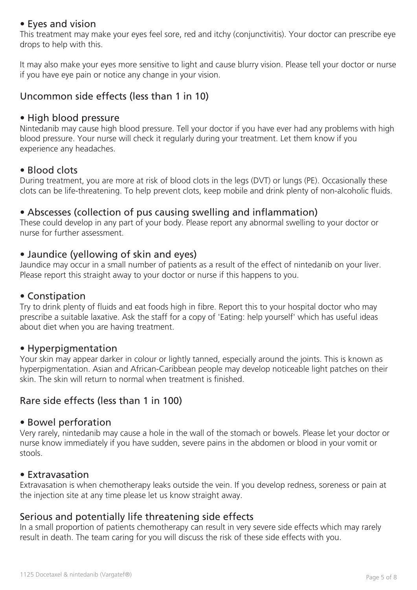#### • Eyes and vision

This treatment may make your eyes feel sore, red and itchy (conjunctivitis). Your doctor can prescribe eye drops to help with this.

It may also make your eyes more sensitive to light and cause blurry vision. Please tell your doctor or nurse if you have eye pain or notice any change in your vision.

## Uncommon side effects (less than 1 in 10)

#### • High blood pressure

Nintedanib may cause high blood pressure. Tell your doctor if you have ever had any problems with high blood pressure. Your nurse will check it regularly during your treatment. Let them know if you experience any headaches.

## • Blood clots

During treatment, you are more at risk of blood clots in the legs (DVT) or lungs (PE). Occasionally these clots can be life-threatening. To help prevent clots, keep mobile and drink plenty of non-alcoholic fluids.

## • Abscesses (collection of pus causing swelling and inflammation)

These could develop in any part of your body. Please report any abnormal swelling to your doctor or nurse for further assessment.

## • Jaundice (yellowing of skin and eyes)

Jaundice may occur in a small number of patients as a result of the effect of nintedanib on your liver. Please report this straight away to your doctor or nurse if this happens to you.

#### • Constipation

Try to drink plenty of fluids and eat foods high in fibre. Report this to your hospital doctor who may prescribe a suitable laxative. Ask the staff for a copy of 'Eating: help yourself' which has useful ideas about diet when you are having treatment.

#### • Hyperpigmentation

Your skin may appear darker in colour or lightly tanned, especially around the joints. This is known as hyperpigmentation. Asian and African-Caribbean people may develop noticeable light patches on their skin. The skin will return to normal when treatment is finished.

## Rare side effects (less than 1 in 100)

#### • Bowel perforation

Very rarely, nintedanib may cause a hole in the wall of the stomach or bowels. Please let your doctor or nurse know immediately if you have sudden, severe pains in the abdomen or blood in your vomit or stools.

#### • Extravasation

Extravasation is when chemotherapy leaks outside the vein. If you develop redness, soreness or pain at the injection site at any time please let us know straight away.

#### Serious and potentially life threatening side effects

In a small proportion of patients chemotherapy can result in very severe side effects which may rarely result in death. The team caring for you will discuss the risk of these side effects with you.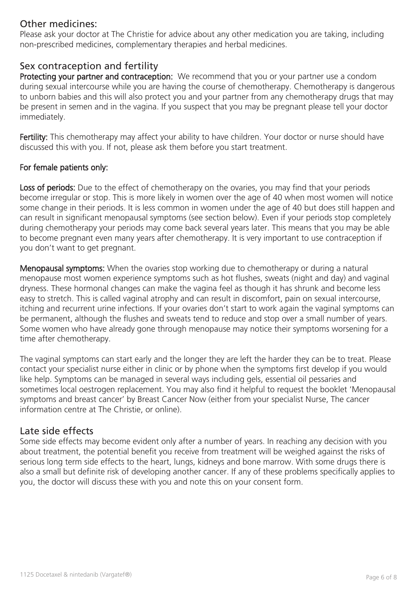## Other medicines:

Please ask your doctor at The Christie for advice about any other medication you are taking, including non-prescribed medicines, complementary therapies and herbal medicines.

#### Sex contraception and fertility

Protecting your partner and contraception: We recommend that you or your partner use a condom during sexual intercourse while you are having the course of chemotherapy. Chemotherapy is dangerous to unborn babies and this will also protect you and your partner from any chemotherapy drugs that may be present in semen and in the vagina. If you suspect that you may be pregnant please tell your doctor immediately.

Fertility: This chemotherapy may affect your ability to have children. Your doctor or nurse should have discussed this with you. If not, please ask them before you start treatment.

#### For female patients only:

Loss of periods: Due to the effect of chemotherapy on the ovaries, you may find that your periods become irregular or stop. This is more likely in women over the age of 40 when most women will notice some change in their periods. It is less common in women under the age of 40 but does still happen and can result in significant menopausal symptoms (see section below). Even if your periods stop completely during chemotherapy your periods may come back several years later. This means that you may be able to become pregnant even many years after chemotherapy. It is very important to use contraception if you don't want to get pregnant.

Menopausal symptoms: When the ovaries stop working due to chemotherapy or during a natural menopause most women experience symptoms such as hot flushes, sweats (night and day) and vaginal dryness. These hormonal changes can make the vagina feel as though it has shrunk and become less easy to stretch. This is called vaginal atrophy and can result in discomfort, pain on sexual intercourse, itching and recurrent urine infections. If your ovaries don't start to work again the vaginal symptoms can be permanent, although the flushes and sweats tend to reduce and stop over a small number of years. Some women who have already gone through menopause may notice their symptoms worsening for a time after chemotherapy.

The vaginal symptoms can start early and the longer they are left the harder they can be to treat. Please contact your specialist nurse either in clinic or by phone when the symptoms first develop if you would like help. Symptoms can be managed in several ways including gels, essential oil pessaries and sometimes local oestrogen replacement. You may also find it helpful to request the booklet 'Menopausal symptoms and breast cancer' by Breast Cancer Now (either from your specialist Nurse, The cancer information centre at The Christie, or online).

#### Late side effects

Some side effects may become evident only after a number of years. In reaching any decision with you about treatment, the potential benefit you receive from treatment will be weighed against the risks of serious long term side effects to the heart, lungs, kidneys and bone marrow. With some drugs there is also a small but definite risk of developing another cancer. If any of these problems specifically applies to you, the doctor will discuss these with you and note this on your consent form.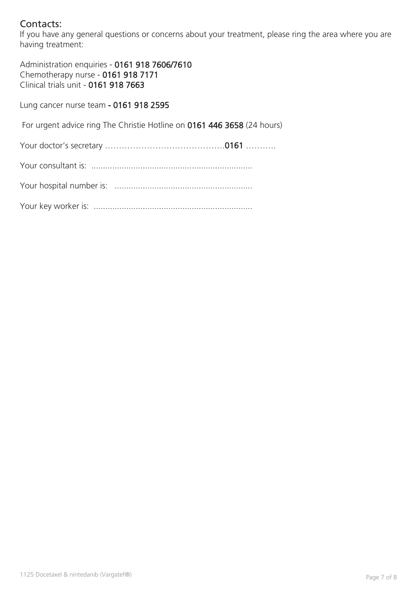# Contacts:

If you have any general questions or concerns about your treatment, please ring the area where you are having treatment:

Administration enquiries - 0161 918 7606/7610 Chemotherapy nurse - 0161 918 7171 Clinical trials unit - 0161 918 7663

Lung cancer nurse team - 0161 918 2595

For urgent advice ring The Christie Hotline on 0161 446 3658 (24 hours)

Your doctor's secretary …………………………………….0161 ………..

Your consultant is: .....................................................................

Your hospital number is: ...........................................................

Your key worker is: ....................................................................